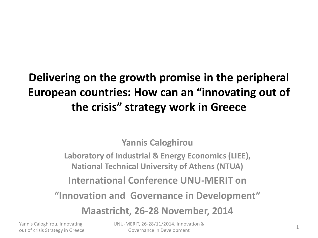### **Delivering on the growth promise in the peripheral European countries: How can an "innovating out of the crisis" strategy work in Greece**

**Yannis Caloghirou**

**Laboratory of Industrial & Energy Economics (LIEE), National Technical University of Athens (NTUA)**

**International Conference UNU-MERIT on**

**"Innovation and Governance in Development"**

**Maastricht, 26-28 November, 2014**

Yannis Caloghirou, Innovating

Yannis Caloghirou, Innovating UNU-MERIT, 26-28/11/2014, Innovation &<br>
out of crisis Strategy in Greece Governance in Development Governance in Development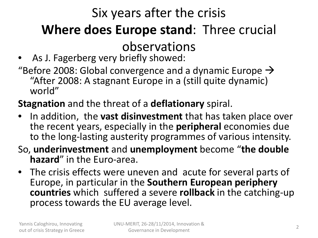# Six years after the crisis **Where does Europe stand**: Three crucial

#### observations

- As J. Fagerberg very briefly showed:
- "Before 2008: Global convergence and a dynamic Europe  $\rightarrow$ "After 2008: A stagnant Europe in a (still quite dynamic) world"

#### **Stagnation** and the threat of a **deflationary** spiral.

- In addition, the **vast disinvestment** that has taken place over the recent years, especially in the **peripheral** economies due to the long-lasting austerity programmes of various intensity.
- So, **underinvestment** and **unemployment** become "**the double hazard**" in the Euro-area.
- The crisis effects were uneven and acute for several parts of Europe, in particular in the **Southern European periphery countries** which suffered a severe **rollback** in the catching-up process towards the EU average level.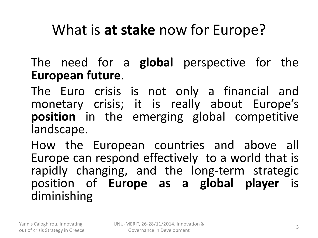### What is **at stake** now for Europe?

The need for a **global** perspective for the **European future**.

The Euro crisis is not only a financial and monetary crisis; it is really about Europe's **position** in the emerging global competitive landscape.

How the European countries and above all Europe can respond effectively to a world that is rapidly changing, and the long-term strategic position of **Europe as a global player** is diminishing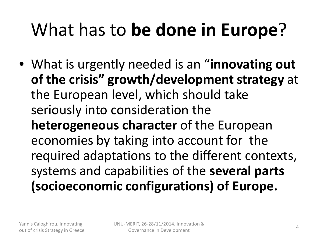# What has to **be done in Europe**?

• What is urgently needed is an "**innovating out of the crisis" growth/development strategy** at the European level, which should take seriously into consideration the **heterogeneous character** of the European economies by taking into account for the required adaptations to the different contexts, systems and capabilities of the **several parts (socioeconomic configurations) of Europe.**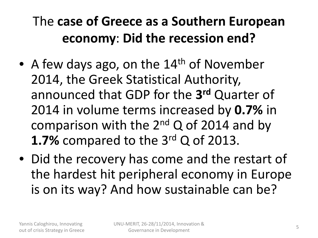### The **case of Greece as a Southern European economy**: **Did the recession end?**

- A few days ago, on the  $14<sup>th</sup>$  of November 2014, the Greek Statistical Authority, announced that GDP for the **3rd** Quarter of 2014 in volume terms increased by **0.7%** in comparison with the  $2^{nd}$  Q of 2014 and by **1.7%** compared to the 3rd Q of 2013.
- Did the recovery has come and the restart of the hardest hit peripheral economy in Europe is on its way? And how sustainable can be?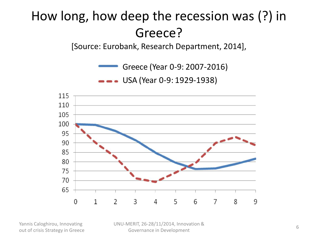### How long, how deep the recession was (?) in Greece?

[Source: Eurobank, Research Department, 2014],

Greece (Year 0-9: 2007-2016)

USA (Year 0-9: 1929-1938)



Yannis Caloghirou, Innovating

Yannis Caloghirou, Innovating UNU-MERIT, 26-28/11/2014, Innovation &<br>
out of crisis Strategy in Greece Governance in Development Governance in Development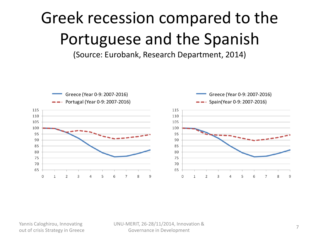# Greek recession compared to the Portuguese and the Spanish

(Source: Eurobank, Research Department, 2014)



Yannis Caloghirou, Innovating UNU-MERIT, 26-28/11/2014, Innovation &<br>
out of crisis Strategy in Greece Governance in Development Governance in Development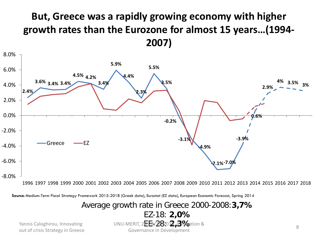#### **But, Greece was a rapidly growing economy with higher growth rates than the Eurozone for almost 15 years…(1994- 2007)**



1996 1997 1998 1999 2000 2001 2002 2003 2004 2005 2006 2007 2008 2009 2010 2011 2012 2013 2014 2015 2016 2017 2018

**Source:** Medium-Term Fiscal Strategy Framework 2015-2018 (Greek data), Eurostat (EZ data), European Economic Forecast, Spring 2014

Average growth rate in Greece 2000-2008:**3,7%** EZ-18: **2,0%**

EE-28: **2,3%** out of crisis Strategy in Greece <sup>8</sup> UNU-MERIT, 26-28/11/2014, Innovation & Yannis Caloghirou, Innovating

Governance in Development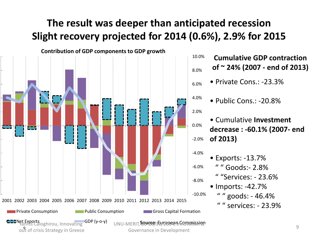#### **The result was deeper than anticipated recession Slight recovery projected for 2014 (0.6%), 2.9% for 2015**



**Cumulative GDP contraction of ~ 24% (2007 - end of 2013)**

- Private Cons.: -23.3%
- Public Cons.: -20.8%

• Cumulative **Investment decrease : -60.1% (2007- end of 2013)**

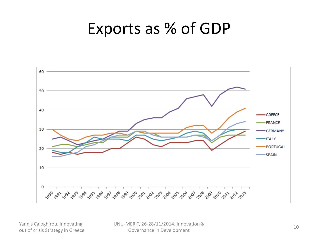### Exports as % of GDP



Yannis Caloghirou, Innovating UNU-MERIT, 26-28/11/2014, Innovation &<br>
out of crisis Strategy in Greece Governance in Development Governance in Development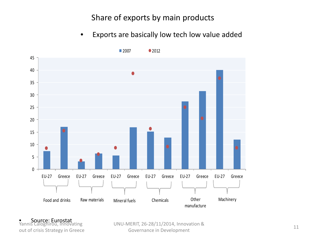Share of exports by main products

• Exports are basically low tech low value added



● Source: Eurostat<br>Yannis Caloghirou, Innovating

Vannis Caloghirou, Innovating<br>
out of crisis Strategy in Greece The Covernance in Development<br>
Governance in Development Governance in Development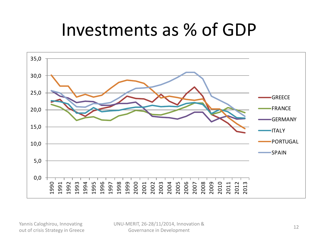# Investments as % of GDP

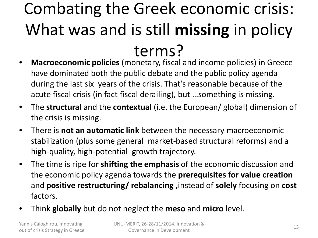# Combating the Greek economic crisis: What was and is still **missing** in policy terms?

- **Macroeconomic policies** (monetary, fiscal and income policies) in Greece have dominated both the public debate and the public policy agenda during the last six years of the crisis. That's reasonable because of the acute fiscal crisis (in fact fiscal derailing), but …something is missing.
- The **structural** and the **contextual** (i.e. the European/ global) dimension of the crisis is missing.
- There is **not an automatic link** between the necessary macroeconomic stabilization (plus some general market-based structural reforms) and a high-quality, high-potential growth trajectory.
- The time is ripe for **shifting the emphasis** of the economic discussion and the economic policy agenda towards the **prerequisites for value creation**  and **positive restructuring/ rebalancing ,**instead of **solely** focusing on **cost**  factors.
- Think **globally** but do not neglect the **meso** and **micro** level.

Yannis Caloghirou, Innovating out of crisis Strategy in Greece <sup>13</sup> UNU-MERIT, 26-28/11/2014, Innovation & Governance in Development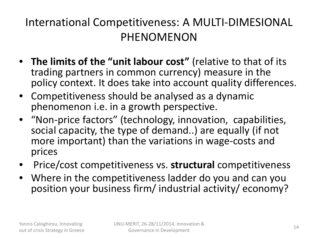#### International Competitiveness: A MULTI-DIMESIONAL PHENOMENON

- **The limits of the "unit labour cost"** (relative to that of its trading partners in common currency) measure in the policy context. It does take into account quality differences.
- Competitiveness should be analysed as a dynamic phenomenon i.e. in a growth perspective.
- "Non-price factors" (technology, innovation, capabilities, social capacity, the type of demand..) are equally (if not more important) than the variations in wage-costs and prices
- Price/cost competitiveness vs. **structural** competitiveness
- Where in the competitiveness ladder do you and can you position your business firm/ industrial activity/ economy?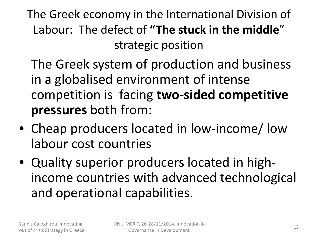The Greek economy in the International Division of Labour: The defect of **"The stuck in the middle**" strategic position

The Greek system of production and business in a globalised environment of intense competition is facing **two-sided competitive pressures** both from:

- Cheap producers located in low-income/ low labour cost countries
- Quality superior producers located in highincome countries with advanced technological and operational capabilities.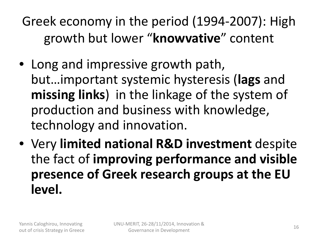Greek economy in the period (1994-2007): High growth but lower "**knowvative**" content

- Long and impressive growth path, but…important systemic hysteresis (**lags** and **missing links**) in the linkage of the system of production and business with knowledge, technology and innovation.
- Very **limited national R&D investment** despite the fact of **improving performance and visible presence of Greek research groups at the EU level.**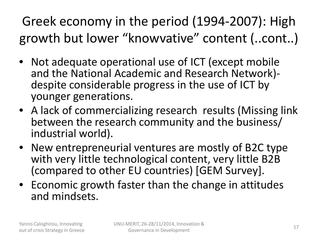### Greek economy in the period (1994-2007): High growth but lower "knowvative" content (..cont..)

- Not adequate operational use of ICT (except mobile and the National Academic and Research Network)- despite considerable progress in the use of ICT by younger generations.
- A lack of commercializing research results (Missing link between the research community and the business/ industrial world).
- New entrepreneurial ventures are mostly of B2C type with very little technological content, very little B2B (compared to other EU countries) [GEM Survey].
- Economic growth faster than the change in attitudes and mindsets.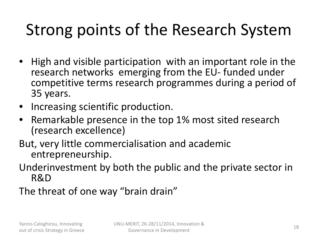# Strong points of the Research System

- High and visible participation with an important role in the research networks emerging from the EU- funded under competitive terms research programmes during a period of 35 years.
- Increasing scientific production.
- Remarkable presence in the top 1% most sited research (research excellence)
- But, very little commercialisation and academic entrepreneurship.
- Underinvestment by both the public and the private sector in R&D
- The threat of one way "brain drain"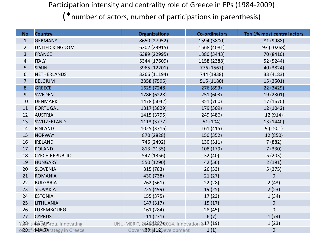Participation intensity and centrality role of Greece in FPs (1984-2009)

(\*number of actors, number of participations in parenthesis)

| <b>No</b>                       | <b>Country</b>                | <b>Organizations</b>                            | <b>Co-ordinators</b> | Top 1% most central actors |  |
|---------------------------------|-------------------------------|-------------------------------------------------|----------------------|----------------------------|--|
| $\mathbf{1}$                    | <b>GERMANY</b>                | 8650 (27952)                                    | 1594 (3800)          | 81 (9988)                  |  |
| $\overline{2}$                  | <b>UNITED KINGDOM</b>         | 6302 (23915)                                    | 1568 (4081)          | 93 (10268)                 |  |
| 3                               | <b>FRANCE</b>                 | 6389 (22995)                                    | 1380 (3443)          | 70 (8410)                  |  |
| 4                               | <b>ITALY</b>                  | 5344 (17609)                                    | 1158 (2388)          | 52 (5244)                  |  |
| 5                               | <b>SPAIN</b>                  | 3965 (12201)                                    | 776 (1567)           | 40 (3824)                  |  |
| 6                               | <b>NETHERLANDS</b>            | 3266 (11194)                                    | 744 (1838)           | 33 (4183)                  |  |
| $\overline{7}$                  | <b>BELGIUM</b>                | 2358 (7595)                                     | 515 (1180)           | 15 (2501)                  |  |
| 8                               | <b>GREECE</b>                 | 1625 (7248)                                     | 276 (893)            | 22 (3429)                  |  |
| 9                               | <b>SWEDEN</b>                 | 1786 (6228)                                     | 251 (603)            | 19 (2301)                  |  |
| 10                              | <b>DENMARK</b>                | 1478 (5042)                                     | 351 (760)            | 17 (1670)                  |  |
| 11                              | <b>PORTUGAL</b>               | 1317 (3829)                                     | 179 (309)            | 12 (1042)                  |  |
| 12                              | <b>AUSTRIA</b>                | 1415 (3795)                                     | 249 (486)            | 12 (914)                   |  |
| 13                              | SWITZERLAND                   | 1113 (3777)                                     | 51 (104)             | 13 (1440)                  |  |
| 14                              | <b>FINLAND</b>                | 1025 (3716)                                     | 161 (415)            | 9(1501)                    |  |
| 15                              | <b>NORWAY</b>                 | 870 (2828)                                      | 150 (352)            | 12 (850)                   |  |
| 16                              | <b>IRELAND</b>                | 746 (2492)                                      | 130 (311)            | 7(882)                     |  |
| 17                              | <b>POLAND</b>                 | 813 (2135)                                      | 108 (179)            | 7(330)                     |  |
| 18                              | <b>CZECH REPUBLIC</b>         | 547 (1356)                                      | 32 (40)              | 5(203)                     |  |
| 19                              | <b>HUNGARY</b>                | 550 (1290)                                      | 42 (56)              | 2(191)                     |  |
| 20                              | <b>SLOVENIA</b>               | 315 (783)                                       | 26(33)               | 5(275)                     |  |
| 21                              | <b>ROMANIA</b>                | 430 (738)                                       | 21(27)               | $\boldsymbol{0}$           |  |
| 22                              | <b>BULGARIA</b>               | 262 (561)                                       | 22(28)               | 2(43)                      |  |
| 23                              | <b>SLOVAKIA</b>               | 225 (499)                                       | 19(25)               | 2(53)                      |  |
| 24                              | <b>ESTONIA</b>                | 155 (375)                                       | 17(23)               | 1(34)                      |  |
| 25                              | <b>LITHUANIA</b>              | 147 (317)                                       | 15(17)               | $\mathbf 0$                |  |
| 26                              | <b>LUXEMBOURG</b>             | 161 (284)                                       | 28(45)               | $\boldsymbol{0}$           |  |
| 27                              | <b>CYPRUS</b>                 | 111 (271)                                       | 6(7)                 | 1(74)                      |  |
|                                 | Yamis Calberthrou, Innovating | UNU-MERIT, 25208(2BI/)2014, Innovation &17 (19) |                      | 1(23)                      |  |
| o 29 of dMAN BArategy in Greece |                               | Governa9c(1112)Development<br>1(1)              |                      | $\boldsymbol{0}$           |  |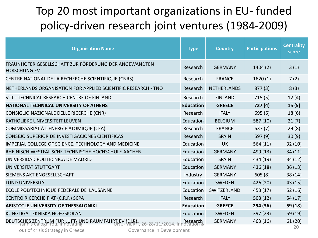#### Top 20 most important organizations in EU- funded policy-driven research joint ventures (1984-2009)

| <b>Organisation Name</b>                                                        | <b>Type</b>      | <b>Country</b>     | <b>Participations</b> | <b>Centrality</b><br>score |
|---------------------------------------------------------------------------------|------------------|--------------------|-----------------------|----------------------------|
| FRAUNHOFER GESELLSCHAFT ZUR FÖRDERUNG DER ANGEWANDTEN<br><b>FORSCHUNG EV</b>    | Research         | <b>GERMANY</b>     | 1404(2)               | 3(1)                       |
| CENTRE NATIONAL DE LA RECHERCHE SCIENTIFIQUE (CNRS)                             | Research         | <b>FRANCE</b>      | 1620(1)               | 7(2)                       |
| NETHERLANDS ORGANISATION FOR APPLIED SCIENTIFIC RESEARCH - TNO                  | Research         | <b>NETHERLANDS</b> | 877(3)                | 8(3)                       |
| VTT - TECHNICAL RESEARCH CENTRE OF FINLAND                                      | Research         | <b>FINLAND</b>     | 715(5)                | 12(4)                      |
| NATIONAL TECHNICAL UNIVERSITY OF ATHENS                                         | <b>Education</b> | <b>GREECE</b>      | 727(4)                | 15(5)                      |
| CONSIGLIO NAZIONALE DELLE RICERCHE (CNR)                                        | Research         | <b>ITALY</b>       | 695(6)                | 18(6)                      |
| <b>KATHOLIEKE UNIVERSITEIT LEUVEN</b>                                           | Education        | <b>BELGIUM</b>     | 587(10)               | 21(7)                      |
| COMMISSARIAT À L'ENERGIE ATOMIQUE (CEA)                                         | Research         | <b>FRANCE</b>      | 637(7)                | 29(8)                      |
| CONSEJO SUPERIOR DE INVESTIGACIONES CIENTIFICAS                                 | Research         | <b>SPAIN</b>       | 597(9)                | 30(9)                      |
| IMPERIAL COLLEGE OF SCIENCE, TECHNOLOGY AND MEDICINE                            | Education        | <b>UK</b>          | 564 (11)              | 32(10)                     |
| RHEINISCH-WESTFÄLISCHE TECHNISCHE HOCHSCHULE AACHEN                             | Education        | <b>GERMANY</b>     | 499 (13)              | 34(11)                     |
| UNIVERSIDAD POLITÉCNICA DE MADRID                                               | Education        | <b>SPAIN</b>       | 434 (19)              | 34(12)                     |
| UNIVERSITÄT STUTTGART                                                           | Education        | <b>GERMANY</b>     | 436 (18)              | 36(13)                     |
| SIEMENS AKTIENGESELLSCHAFT                                                      | Industry         | <b>GERMANY</b>     | 605(8)                | 38(14)                     |
| <b>LUND UNIVERSITY</b>                                                          | Education        | <b>SWEDEN</b>      | 426 (20)              | 43 (15)                    |
| ECOLE POLYTECHNIQUE FEDERALE DE LAUSANNE                                        | Education        | SWITZERLAND        | 453 (17)              | 52(16)                     |
| CENTRO RICERCHE FIAT (C.R.F.) SCPA                                              | Research         | <b>ITALY</b>       | 503(12)               | 54 (17)                    |
| <b>ARISTOTLE UNIVERSITY OF THESSALONIKI</b>                                     | <b>Education</b> | <b>GREECE</b>      | 294 (36)              | 59 (18)                    |
| KUNGLIGA TEKNISKA HOEGSKOLAN                                                    | Education        | <b>SWEDEN</b>      | 397 (23)              | 59 (19)                    |
| DEUTSCHES ZENTRUM FÜR LUFT- UND RAUMFAHRT FV (DLR), 26-28/11/2014, Innovation & |                  | <b>GERMANY</b>     | 463 (16)              | 61 (20)                    |
| out of origin Ctrotom, in Crooso<br>Cousepage in Douglanmant                    |                  |                    |                       | 20                         |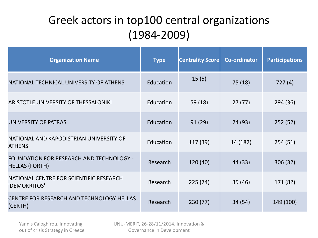#### Greek actors in top100 central organizations (1984-2009)

| <b>Organization Name</b>                                                 | <b>Type</b> | <b>Centrality Score</b> | <b>Co-ordinator</b> | <b>Participations</b> |
|--------------------------------------------------------------------------|-------------|-------------------------|---------------------|-----------------------|
| NATIONAL TECHNICAL UNIVERSITY OF ATHENS                                  | Education   | 15(5)                   | 75 (18)             | 727 (4)               |
| ARISTOTLE UNIVERSITY OF THESSALONIKI                                     | Education   | 59 (18)                 | 27(77)              | 294 (36)              |
| UNIVERSITY OF PATRAS                                                     | Education   | 91(29)                  | 24 (93)             | 252(52)               |
| NATIONAL AND KAPODISTRIAN UNIVERSITY OF<br><b>ATHENS</b>                 | Education   | 117 (39)                | 14 (182)            | 254(51)               |
| <b>FOUNDATION FOR RESEARCH AND TECHNOLOGY -</b><br><b>HELLAS (FORTH)</b> | Research    | 120(40)                 | 44 (33)             | 306(32)               |
| NATIONAL CENTRE FOR SCIENTIFIC RESEARCH<br>'DEMOKRITOS'                  | Research    | 225(74)                 | 35(46)              | 171 (82)              |
| CENTRE FOR RESEARCH AND TECHNOLOGY HELLAS<br>(CERTH)                     | Research    | 230(77)                 | 34 (54)             | 149 (100)             |

Yannis Caloghirou, Innovating out of crisis Strategy in Greece UNU-MERIT, 26-28/11/2014, Innovation & Governance in Development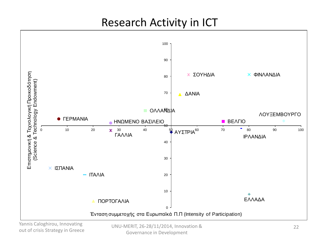#### Research Activity in ICT



Yannis Caloghirou, Innovating out of crisis Strategy in Greece

UNU-MERIT, 26-28/11/2014, Innovation & 22 Governance in Development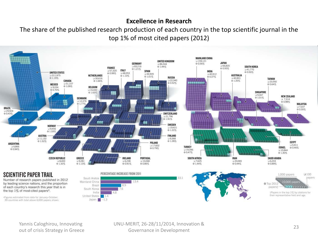#### **Excellence in Research**

The share of the published research production of each country in the top scientific journal in the top 1% of most cited papers (2012)



Yannis Caloghirou, Innovating out of crisis Strategy in Greece <sup>23</sup> UNU-MERIT, 26-28/11/2014, Innovation & Governance in Development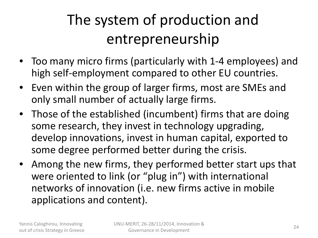# The system of production and entrepreneurship

- Too many micro firms (particularly with 1-4 employees) and high self-employment compared to other EU countries.
- Even within the group of larger firms, most are SMEs and only small number of actually large firms.
- Those of the established (incumbent) firms that are doing some research, they invest in technology upgrading, develop innovations, invest in human capital, exported to some degree performed better during the crisis.
- Among the new firms, they performed better start ups that were oriented to link (or "plug in") with international networks of innovation (i.e. new firms active in mobile applications and content).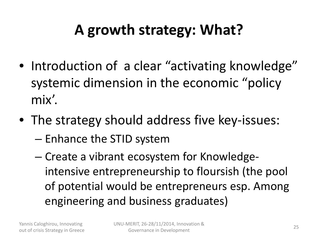# **A growth strategy: What?**

- Introduction of a clear "activating knowledge" systemic dimension in the economic "policy mix'.
- The strategy should address five key-issues:
	- Enhance the STID system
	- Create a vibrant ecosystem for Knowledgeintensive entrepreneurship to floursish (the pool of potential would be entrepreneurs esp. Among engineering and business graduates)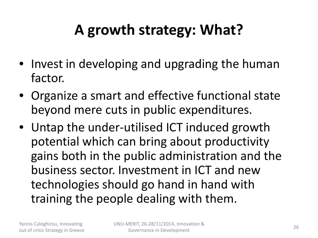# **A growth strategy: What?**

- Invest in developing and upgrading the human factor.
- Organize a smart and effective functional state beyond mere cuts in public expenditures.
- Untap the under-utilised ICT induced growth potential which can bring about productivity gains both in the public administration and the business sector. Investment in ICT and new technologies should go hand in hand with training the people dealing with them.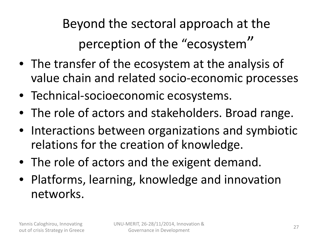Beyond the sectoral approach at the perception of the "ecosystem"

- The transfer of the ecosystem at the analysis of value chain and related socio-economic processes
- Technical-socioeconomic ecosystems.
- The role of actors and stakeholders. Broad range.
- Interactions between organizations and symbiotic relations for the creation of knowledge.
- The role of actors and the exigent demand.
- Platforms, learning, knowledge and innovation networks.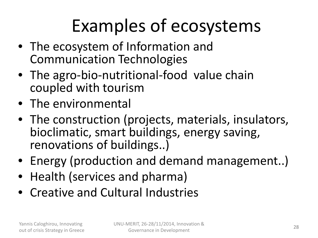# Examples of ecosystems

- The ecosystem of Information and Communication Technologies
- The agro-bio-nutritional-food value chain coupled with tourism
- The environmental
- The construction (projects, materials, insulators, bioclimatic, smart buildings, energy saving, renovations of buildings..)
- Energy (production and demand management..)
- Health (services and pharma)
- Creative and Cultural Industries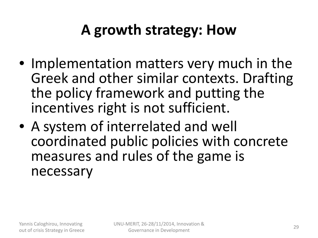### **A growth strategy: How**

- Implementation matters very much in the Greek and other similar contexts. Drafting the policy framework and putting the incentives right is not sufficient.
- A system of interrelated and well coordinated public policies with concrete measures and rules of the game is necessary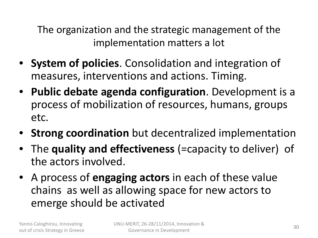The organization and the strategic management of the implementation matters a lot

- **System of policies**. Consolidation and integration of measures, interventions and actions. Timing.
- **Public debate agenda configuration**. Development is a process of mobilization of resources, humans, groups etc.
- **Strong coordination** but decentralized implementation
- The **quality and effectiveness** (=capacity to deliver) of the actors involved.
- A process of **engaging actors** in each of these value chains as well as allowing space for new actors to emerge should be activated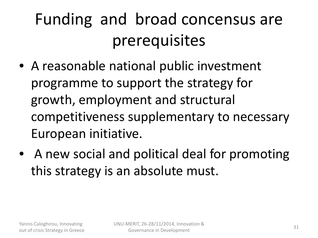# Funding and broad concensus are prerequisites

- A reasonable national public investment programme to support the strategy for growth, employment and structural competitiveness supplementary to necessary European initiative.
- A new social and political deal for promoting this strategy is an absolute must.